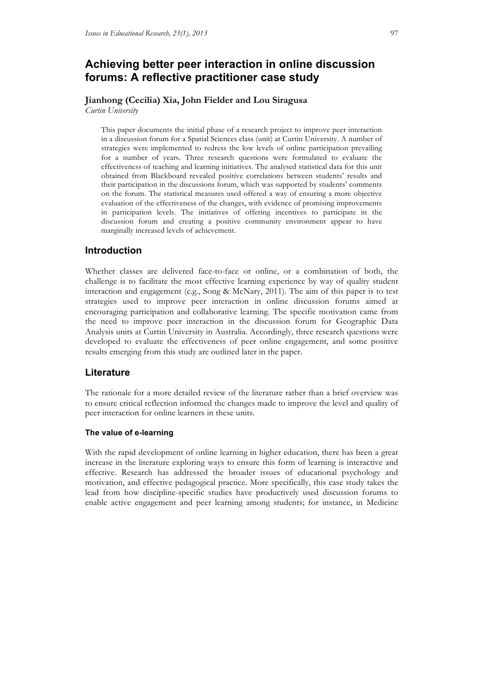# **Achieving better peer interaction in online discussion forums: A reflective practitioner case study**

# **Jianhong (Cecilia) Xia, John Fielder and Lou Siragusa**

*Curtin University*

This paper documents the initial phase of a research project to improve peer interaction in a discussion forum for a Spatial Sciences class (unit) at Curtin University. A number of strategies were implemented to redress the low levels of online participation prevailing for a number of years. Three research questions were formulated to evaluate the effectiveness of teaching and learning initiatives. The analysed statistical data for this unit obtained from Blackboard revealed positive correlations between students' results and their participation in the discussions forum, which was supported by students' comments on the forum. The statistical measures used offered a way of ensuring a more objective evaluation of the effectiveness of the changes, with evidence of promising improvements in participation levels. The initiatives of offering incentives to participate in the discussion forum and creating a positive community environment appear to have marginally increased levels of achievement.

# **Introduction**

Whether classes are delivered face-to-face or online, or a combination of both, the challenge is to facilitate the most effective learning experience by way of quality student interaction and engagement (e.g., Song & McNary, 2011). The aim of this paper is to test strategies used to improve peer interaction in online discussion forums aimed at encouraging participation and collaborative learning. The specific motivation came from the need to improve peer interaction in the discussion forum for Geographic Data Analysis units at Curtin University in Australia. Accordingly, three research questions were developed to evaluate the effectiveness of peer online engagement, and some positive results emerging from this study are outlined later in the paper.

# **Literature**

The rationale for a more detailed review of the literature rather than a brief overview was to ensure critical reflection informed the changes made to improve the level and quality of peer interaction for online learners in these units.

#### **The value of e-learning**

With the rapid development of online learning in higher education, there has been a great increase in the literature exploring ways to ensure this form of learning is interactive and effective. Research has addressed the broader issues of educational psychology and motivation, and effective pedagogical practice. More specifically, this case study takes the lead from how discipline-specific studies have productively used discussion forums to enable active engagement and peer learning among students; for instance, in Medicine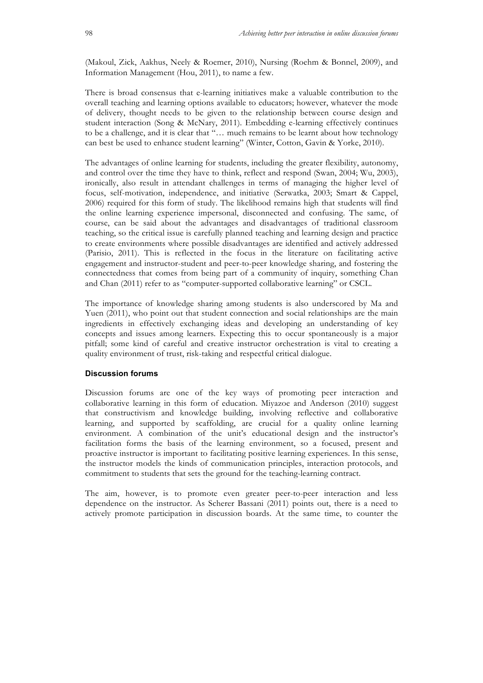(Makoul, Zick, Aakhus, Neely & Roemer, 2010), Nursing (Roehm & Bonnel, 2009), and Information Management (Hou, 2011), to name a few.

There is broad consensus that e-learning initiatives make a valuable contribution to the overall teaching and learning options available to educators; however, whatever the mode of delivery, thought needs to be given to the relationship between course design and student interaction (Song & McNary, 2011). Embedding e-learning effectively continues to be a challenge, and it is clear that "… much remains to be learnt about how technology can best be used to enhance student learning" (Winter, Cotton, Gavin & Yorke, 2010).

The advantages of online learning for students, including the greater flexibility, autonomy, and control over the time they have to think, reflect and respond (Swan, 2004; Wu, 2003), ironically, also result in attendant challenges in terms of managing the higher level of focus, self-motivation, independence, and initiative (Serwatka, 2003; Smart & Cappel, 2006) required for this form of study. The likelihood remains high that students will find the online learning experience impersonal, disconnected and confusing. The same, of course, can be said about the advantages and disadvantages of traditional classroom teaching, so the critical issue is carefully planned teaching and learning design and practice to create environments where possible disadvantages are identified and actively addressed (Parisio, 2011). This is reflected in the focus in the literature on facilitating active engagement and instructor-student and peer-to-peer knowledge sharing, and fostering the connectedness that comes from being part of a community of inquiry, something Chan and Chan (2011) refer to as "computer-supported collaborative learning" or CSCL.

The importance of knowledge sharing among students is also underscored by Ma and Yuen (2011), who point out that student connection and social relationships are the main ingredients in effectively exchanging ideas and developing an understanding of key concepts and issues among learners. Expecting this to occur spontaneously is a major pitfall; some kind of careful and creative instructor orchestration is vital to creating a quality environment of trust, risk-taking and respectful critical dialogue.

#### **Discussion forums**

Discussion forums are one of the key ways of promoting peer interaction and collaborative learning in this form of education. Miyazoe and Anderson (2010) suggest that constructivism and knowledge building, involving reflective and collaborative learning, and supported by scaffolding, are crucial for a quality online learning environment. A combination of the unit's educational design and the instructor's facilitation forms the basis of the learning environment, so a focused, present and proactive instructor is important to facilitating positive learning experiences. In this sense, the instructor models the kinds of communication principles, interaction protocols, and commitment to students that sets the ground for the teaching-learning contract.

The aim, however, is to promote even greater peer-to-peer interaction and less dependence on the instructor. As Scherer Bassani (2011) points out, there is a need to actively promote participation in discussion boards. At the same time, to counter the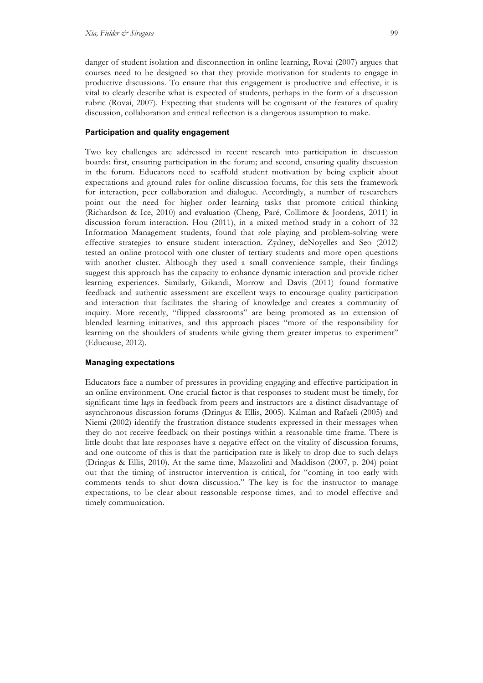danger of student isolation and disconnection in online learning, Rovai (2007) argues that courses need to be designed so that they provide motivation for students to engage in productive discussions. To ensure that this engagement is productive and effective, it is vital to clearly describe what is expected of students, perhaps in the form of a discussion rubric (Rovai, 2007). Expecting that students will be cognisant of the features of quality discussion, collaboration and critical reflection is a dangerous assumption to make.

#### **Participation and quality engagement**

Two key challenges are addressed in recent research into participation in discussion boards: first, ensuring participation in the forum; and second, ensuring quality discussion in the forum. Educators need to scaffold student motivation by being explicit about expectations and ground rules for online discussion forums, for this sets the framework for interaction, peer collaboration and dialogue. Accordingly, a number of researchers point out the need for higher order learning tasks that promote critical thinking (Richardson & Ice, 2010) and evaluation (Cheng, Paré, Collimore & Joordens, 2011) in discussion forum interaction. Hou (2011), in a mixed method study in a cohort of 32 Information Management students, found that role playing and problem-solving were effective strategies to ensure student interaction. Zydney, deNoyelles and Seo (2012) tested an online protocol with one cluster of tertiary students and more open questions with another cluster. Although they used a small convenience sample, their findings suggest this approach has the capacity to enhance dynamic interaction and provide richer learning experiences. Similarly, Gikandi, Morrow and Davis (2011) found formative feedback and authentic assessment are excellent ways to encourage quality participation and interaction that facilitates the sharing of knowledge and creates a community of inquiry. More recently, "flipped classrooms" are being promoted as an extension of blended learning initiatives, and this approach places "more of the responsibility for learning on the shoulders of students while giving them greater impetus to experiment" (Educause, 2012).

#### **Managing expectations**

Educators face a number of pressures in providing engaging and effective participation in an online environment. One crucial factor is that responses to student must be timely, for significant time lags in feedback from peers and instructors are a distinct disadvantage of asynchronous discussion forums (Dringus & Ellis, 2005). Kalman and Rafaeli (2005) and Niemi (2002) identify the frustration distance students expressed in their messages when they do not receive feedback on their postings within a reasonable time frame. There is little doubt that late responses have a negative effect on the vitality of discussion forums, and one outcome of this is that the participation rate is likely to drop due to such delays (Dringus & Ellis, 2010). At the same time, Mazzolini and Maddison (2007, p. 204) point out that the timing of instructor intervention is critical, for "coming in too early with comments tends to shut down discussion." The key is for the instructor to manage expectations, to be clear about reasonable response times, and to model effective and timely communication.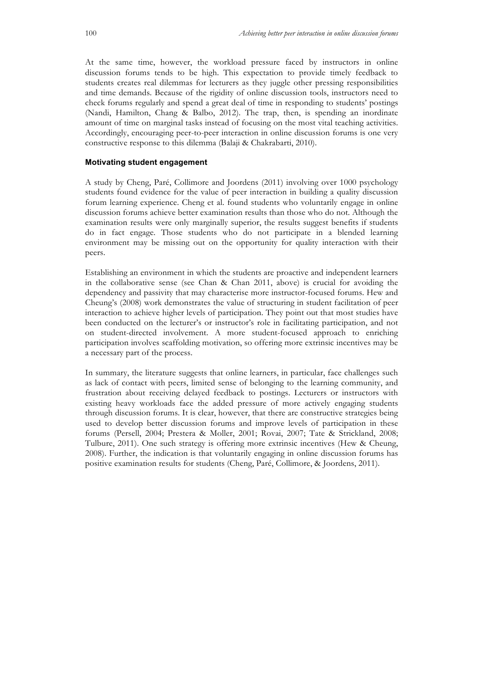At the same time, however, the workload pressure faced by instructors in online discussion forums tends to be high. This expectation to provide timely feedback to students creates real dilemmas for lecturers as they juggle other pressing responsibilities and time demands. Because of the rigidity of online discussion tools, instructors need to check forums regularly and spend a great deal of time in responding to students' postings (Nandi, Hamilton, Chang & Balbo, 2012). The trap, then, is spending an inordinate amount of time on marginal tasks instead of focusing on the most vital teaching activities. Accordingly, encouraging peer-to-peer interaction in online discussion forums is one very constructive response to this dilemma (Balaji & Chakrabarti, 2010).

#### **Motivating student engagement**

A study by Cheng, Paré, Collimore and Joordens (2011) involving over 1000 psychology students found evidence for the value of peer interaction in building a quality discussion forum learning experience. Cheng et al. found students who voluntarily engage in online discussion forums achieve better examination results than those who do not. Although the examination results were only marginally superior, the results suggest benefits if students do in fact engage. Those students who do not participate in a blended learning environment may be missing out on the opportunity for quality interaction with their peers.

Establishing an environment in which the students are proactive and independent learners in the collaborative sense (see Chan & Chan 2011, above) is crucial for avoiding the dependency and passivity that may characterise more instructor-focused forums. Hew and Cheung's (2008) work demonstrates the value of structuring in student facilitation of peer interaction to achieve higher levels of participation. They point out that most studies have been conducted on the lecturer's or instructor's role in facilitating participation, and not on student-directed involvement. A more student-focused approach to enriching participation involves scaffolding motivation, so offering more extrinsic incentives may be a necessary part of the process.

In summary, the literature suggests that online learners, in particular, face challenges such as lack of contact with peers, limited sense of belonging to the learning community, and frustration about receiving delayed feedback to postings. Lecturers or instructors with existing heavy workloads face the added pressure of more actively engaging students through discussion forums. It is clear, however, that there are constructive strategies being used to develop better discussion forums and improve levels of participation in these forums (Persell, 2004; Prestera & Moller, 2001; Rovai, 2007; Tate & Strickland, 2008; Tulbure, 2011). One such strategy is offering more extrinsic incentives (Hew & Cheung, 2008). Further, the indication is that voluntarily engaging in online discussion forums has positive examination results for students (Cheng, Paré, Collimore, & Joordens, 2011).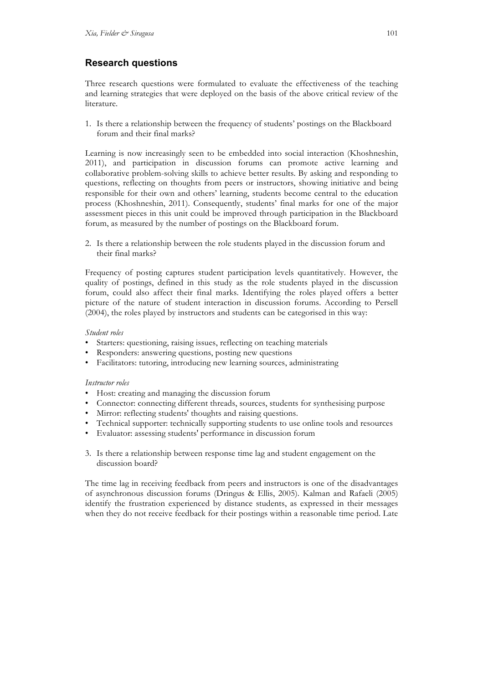# **Research questions**

Three research questions were formulated to evaluate the effectiveness of the teaching and learning strategies that were deployed on the basis of the above critical review of the literature.

1. Is there a relationship between the frequency of students' postings on the Blackboard forum and their final marks?

Learning is now increasingly seen to be embedded into social interaction (Khoshneshin, 2011), and participation in discussion forums can promote active learning and collaborative problem-solving skills to achieve better results. By asking and responding to questions, reflecting on thoughts from peers or instructors, showing initiative and being responsible for their own and others' learning, students become central to the education process (Khoshneshin, 2011). Consequently, students' final marks for one of the major assessment pieces in this unit could be improved through participation in the Blackboard forum, as measured by the number of postings on the Blackboard forum.

2. Is there a relationship between the role students played in the discussion forum and their final marks?

Frequency of posting captures student participation levels quantitatively. However, the quality of postings, defined in this study as the role students played in the discussion forum, could also affect their final marks. Identifying the roles played offers a better picture of the nature of student interaction in discussion forums. According to Persell (2004), the roles played by instructors and students can be categorised in this way:

## *Student roles*

- Starters: questioning, raising issues, reflecting on teaching materials
- Responders: answering questions, posting new questions
- Facilitators: tutoring, introducing new learning sources, administrating

# *Instructor roles*

- Host: creating and managing the discussion forum
- Connector: connecting different threads, sources, students for synthesising purpose
- Mirror: reflecting students' thoughts and raising questions.
- Technical supporter: technically supporting students to use online tools and resources
- Evaluator: assessing students' performance in discussion forum
- 3. Is there a relationship between response time lag and student engagement on the discussion board?

The time lag in receiving feedback from peers and instructors is one of the disadvantages of asynchronous discussion forums (Dringus & Ellis, 2005). Kalman and Rafaeli (2005) identify the frustration experienced by distance students, as expressed in their messages when they do not receive feedback for their postings within a reasonable time period. Late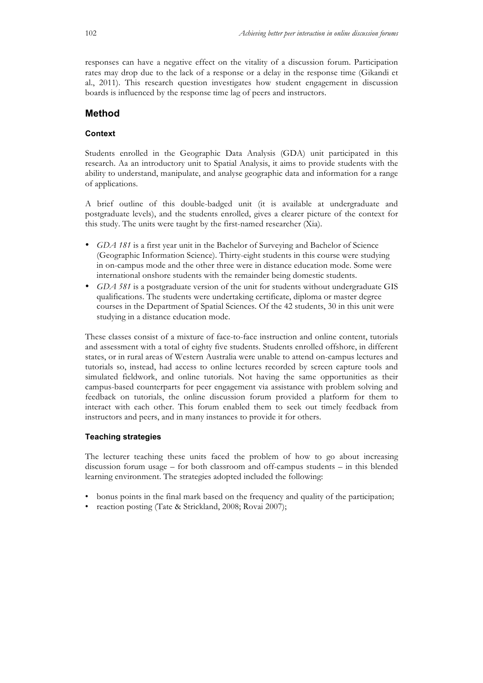responses can have a negative effect on the vitality of a discussion forum. Participation rates may drop due to the lack of a response or a delay in the response time (Gikandi et al., 2011). This research question investigates how student engagement in discussion boards is influenced by the response time lag of peers and instructors.

# **Method**

#### **Context**

Students enrolled in the Geographic Data Analysis (GDA) unit participated in this research. Aa an introductory unit to Spatial Analysis, it aims to provide students with the ability to understand, manipulate, and analyse geographic data and information for a range of applications.

A brief outline of this double-badged unit (it is available at undergraduate and postgraduate levels), and the students enrolled, gives a clearer picture of the context for this study. The units were taught by the first-named researcher (Xia).

- *GDA 181* is a first year unit in the Bachelor of Surveying and Bachelor of Science (Geographic Information Science). Thirty-eight students in this course were studying in on-campus mode and the other three were in distance education mode. Some were international onshore students with the remainder being domestic students.
- *GDA 581* is a postgraduate version of the unit for students without undergraduate GIS qualifications. The students were undertaking certificate, diploma or master degree courses in the Department of Spatial Sciences. Of the 42 students, 30 in this unit were studying in a distance education mode.

These classes consist of a mixture of face-to-face instruction and online content, tutorials and assessment with a total of eighty five students. Students enrolled offshore, in different states, or in rural areas of Western Australia were unable to attend on-campus lectures and tutorials so, instead, had access to online lectures recorded by screen capture tools and simulated fieldwork, and online tutorials. Not having the same opportunities as their campus-based counterparts for peer engagement via assistance with problem solving and feedback on tutorials, the online discussion forum provided a platform for them to interact with each other. This forum enabled them to seek out timely feedback from instructors and peers, and in many instances to provide it for others.

#### **Teaching strategies**

The lecturer teaching these units faced the problem of how to go about increasing discussion forum usage – for both classroom and off-campus students – in this blended learning environment. The strategies adopted included the following:

- bonus points in the final mark based on the frequency and quality of the participation;
- reaction posting (Tate & Strickland, 2008; Rovai 2007);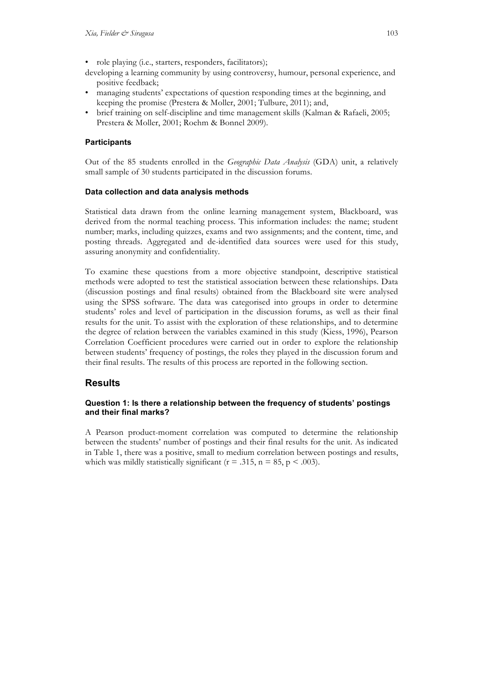- role playing (i.e., starters, responders, facilitators);
- developing a learning community by using controversy, humour, personal experience, and positive feedback;
- managing students' expectations of question responding times at the beginning, and keeping the promise (Prestera & Moller, 2001; Tulbure, 2011); and,
- brief training on self-discipline and time management skills (Kalman & Rafaeli, 2005; Prestera & Moller, 2001; Roehm & Bonnel 2009).

## **Participants**

Out of the 85 students enrolled in the *Geographic Data Analysis* (GDA) unit, a relatively small sample of 30 students participated in the discussion forums.

#### **Data collection and data analysis methods**

Statistical data drawn from the online learning management system, Blackboard, was derived from the normal teaching process. This information includes: the name; student number; marks, including quizzes, exams and two assignments; and the content, time, and posting threads. Aggregated and de-identified data sources were used for this study, assuring anonymity and confidentiality.

To examine these questions from a more objective standpoint, descriptive statistical methods were adopted to test the statistical association between these relationships. Data (discussion postings and final results) obtained from the Blackboard site were analysed using the SPSS software. The data was categorised into groups in order to determine students' roles and level of participation in the discussion forums, as well as their final results for the unit. To assist with the exploration of these relationships, and to determine the degree of relation between the variables examined in this study (Kiess, 1996), Pearson Correlation Coefficient procedures were carried out in order to explore the relationship between students' frequency of postings, the roles they played in the discussion forum and their final results. The results of this process are reported in the following section.

# **Results**

## **Question 1: Is there a relationship between the frequency of students' postings and their final marks?**

A Pearson product-moment correlation was computed to determine the relationship between the students' number of postings and their final results for the unit. As indicated in Table 1, there was a positive, small to medium correlation between postings and results, which was mildly statistically significant ( $r = .315$ ,  $n = 85$ ,  $p < .003$ ).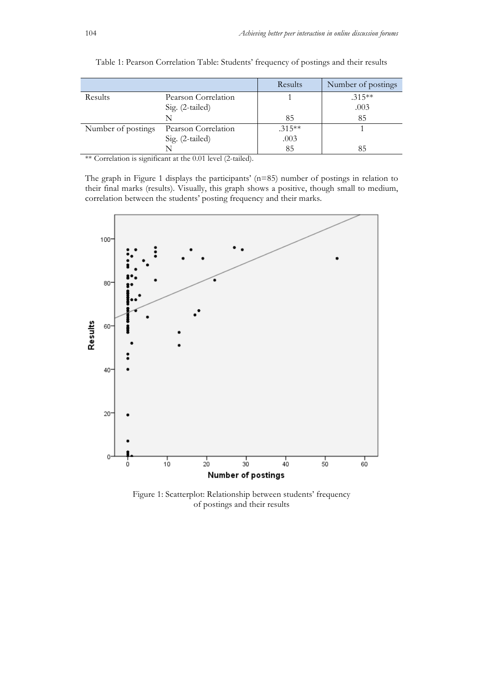|                    |                     | Results  | Number of postings |
|--------------------|---------------------|----------|--------------------|
| Results            | Pearson Correlation |          | $.315**$           |
|                    | Sig. (2-tailed)     |          | .003               |
|                    |                     | 85       | 85                 |
| Number of postings | Pearson Correlation | $.315**$ |                    |
|                    | Sig. (2-tailed)     | .003     |                    |
|                    |                     | 85       | 85                 |

| Table 1: Pearson Correlation Table: Students' frequency of postings and their results |  |
|---------------------------------------------------------------------------------------|--|
|---------------------------------------------------------------------------------------|--|

\*\* Correlation is significant at the 0.01 level (2-tailed).

The graph in Figure 1 displays the participants' (n=85) number of postings in relation to their final marks (results). Visually, this graph shows a positive, though small to medium, correlation between the students' posting frequency and their marks.



Figure 1: Scatterplot: Relationship between students' frequency of postings and their results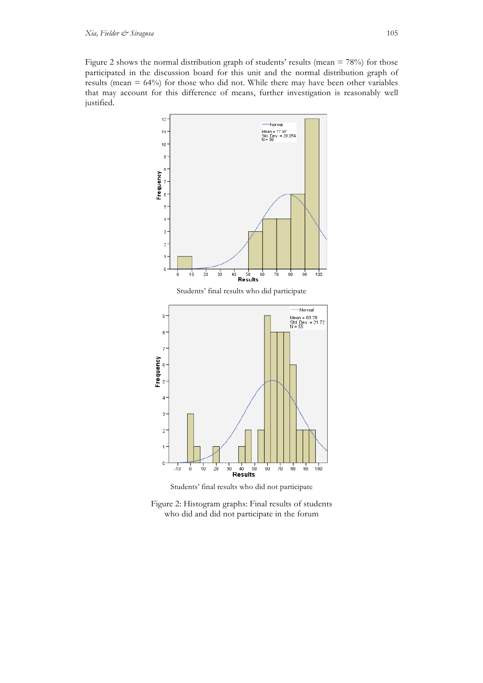Figure 2 shows the normal distribution graph of students' results (mean = 78%) for those participated in the discussion board for this unit and the normal distribution graph of results (mean = 64%) for those who did not. While there may have been other variables that may account for this difference of means, further investigation is reasonably well justified.



Students' final results who did not participate

Figure 2: Histogram graphs: Final results of students who did and did not participate in the forum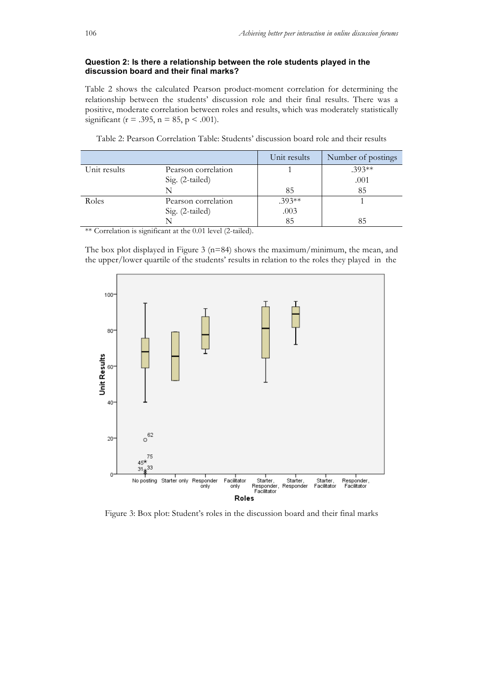#### **Question 2: Is there a relationship between the role students played in the discussion board and their final marks?**

Table 2 shows the calculated Pearson product-moment correlation for determining the relationship between the students' discussion role and their final results. There was a positive, moderate correlation between roles and results, which was moderately statistically significant ( $r = .395$ ,  $n = 85$ ,  $p < .001$ ).

|              |                     | Unit results | Number of postings |
|--------------|---------------------|--------------|--------------------|
| Unit results | Pearson correlation |              | $.393**$           |
|              | Sig. (2-tailed)     |              | .001               |
|              | N                   | 85           | 85                 |
| Roles        | Pearson correlation | $.393**$     |                    |
|              | Sig. (2-tailed)     | .003         |                    |
|              |                     | 85           | 85                 |

Table 2: Pearson Correlation Table: Students' discussion board role and their results

\*\* Correlation is significant at the 0.01 level (2-tailed).

The box plot displayed in Figure 3 ( $n=84$ ) shows the maximum/minimum, the mean, and the upper/lower quartile of the students' results in relation to the roles they played in the



Figure 3: Box plot: Student's roles in the discussion board and their final marks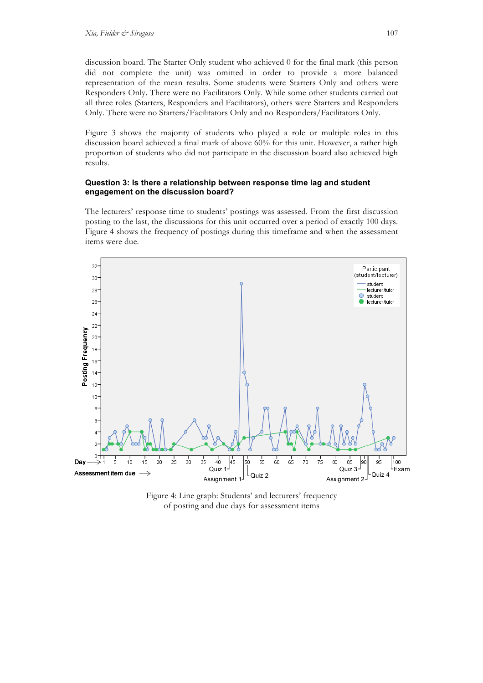discussion board. The Starter Only student who achieved 0 for the final mark (this person did not complete the unit) was omitted in order to provide a more balanced representation of the mean results. Some students were Starters Only and others were Responders Only. There were no Facilitators Only. While some other students carried out all three roles (Starters, Responders and Facilitators), others were Starters and Responders Only. There were no Starters/Facilitators Only and no Responders/Facilitators Only.

Figure 3 shows the majority of students who played a role or multiple roles in this discussion board achieved a final mark of above 60% for this unit. However, a rather high proportion of students who did not participate in the discussion board also achieved high results.

#### **Question 3: Is there a relationship between response time lag and student engagement on the discussion board?**

The lecturers' response time to students' postings was assessed. From the first discussion posting to the last, the discussions for this unit occurred over a period of exactly 100 days. Figure 4 shows the frequency of postings during this timeframe and when the assessment items were due.



Figure 4: Line graph: Students' and lecturers' frequency of posting and due days for assessment items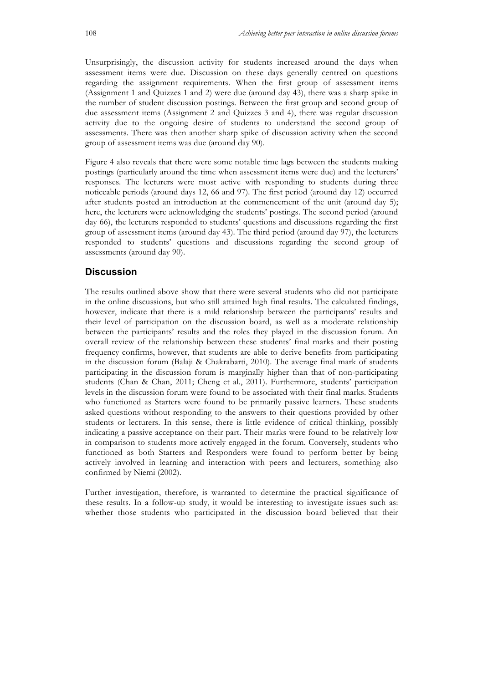Unsurprisingly, the discussion activity for students increased around the days when assessment items were due. Discussion on these days generally centred on questions regarding the assignment requirements. When the first group of assessment items (Assignment 1 and Quizzes 1 and 2) were due (around day 43), there was a sharp spike in the number of student discussion postings. Between the first group and second group of due assessment items (Assignment 2 and Quizzes 3 and 4), there was regular discussion activity due to the ongoing desire of students to understand the second group of assessments. There was then another sharp spike of discussion activity when the second group of assessment items was due (around day 90).

Figure 4 also reveals that there were some notable time lags between the students making postings (particularly around the time when assessment items were due) and the lecturers' responses. The lecturers were most active with responding to students during three noticeable periods (around days 12, 66 and 97). The first period (around day 12) occurred after students posted an introduction at the commencement of the unit (around day 5); here, the lecturers were acknowledging the students' postings. The second period (around day 66), the lecturers responded to students' questions and discussions regarding the first group of assessment items (around day 43). The third period (around day 97), the lecturers responded to students' questions and discussions regarding the second group of assessments (around day 90).

## **Discussion**

The results outlined above show that there were several students who did not participate in the online discussions, but who still attained high final results. The calculated findings, however, indicate that there is a mild relationship between the participants' results and their level of participation on the discussion board, as well as a moderate relationship between the participants' results and the roles they played in the discussion forum. An overall review of the relationship between these students' final marks and their posting frequency confirms, however, that students are able to derive benefits from participating in the discussion forum (Balaji & Chakrabarti, 2010). The average final mark of students participating in the discussion forum is marginally higher than that of non-participating students (Chan & Chan, 2011; Cheng et al., 2011). Furthermore, students' participation levels in the discussion forum were found to be associated with their final marks. Students who functioned as Starters were found to be primarily passive learners. These students asked questions without responding to the answers to their questions provided by other students or lecturers. In this sense, there is little evidence of critical thinking, possibly indicating a passive acceptance on their part. Their marks were found to be relatively low in comparison to students more actively engaged in the forum. Conversely, students who functioned as both Starters and Responders were found to perform better by being actively involved in learning and interaction with peers and lecturers, something also confirmed by Niemi (2002).

Further investigation, therefore, is warranted to determine the practical significance of these results. In a follow-up study, it would be interesting to investigate issues such as: whether those students who participated in the discussion board believed that their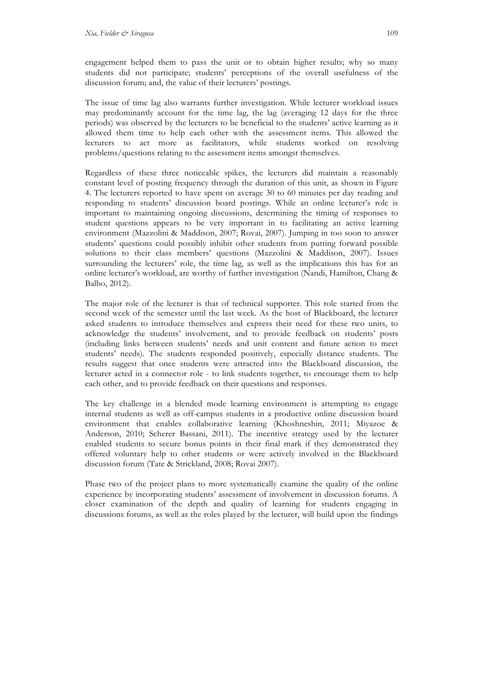engagement helped them to pass the unit or to obtain higher results; why so many students did not participate; students' perceptions of the overall usefulness of the discussion forum; and, the value of their lecturers' postings.

The issue of time lag also warrants further investigation. While lecturer workload issues may predominantly account for the time lag, the lag (averaging 12 days for the three periods) was observed by the lecturers to be beneficial to the students' active learning as it allowed them time to help each other with the assessment items. This allowed the lecturers to act more as facilitators, while students worked on resolving problems/questions relating to the assessment items amongst themselves.

Regardless of these three noticeable spikes, the lecturers did maintain a reasonably constant level of posting frequency through the duration of this unit, as shown in Figure 4. The lecturers reported to have spent on average 30 to 60 minutes per day reading and responding to students' discussion board postings. While an online lecturer's role is important to maintaining ongoing discussions, determining the timing of responses to student questions appears to be very important in to facilitating an active learning environment (Mazzolini & Maddison, 2007; Rovai, 2007). Jumping in too soon to answer students' questions could possibly inhibit other students from putting forward possible solutions to their class members' questions (Mazzolini & Maddison, 2007). Issues surrounding the lecturers' role, the time lag, as well as the implications this has for an online lecturer's workload, are worthy of further investigation (Nandi, Hamilton, Chang & Balbo, 2012).

The major role of the lecturer is that of technical supporter. This role started from the second week of the semester until the last week. As the host of Blackboard, the lecturer asked students to introduce themselves and express their need for these two units, to acknowledge the students' involvement, and to provide feedback on students' posts (including links between students' needs and unit content and future action to meet students' needs). The students responded positively, especially distance students. The results suggest that once students were attracted into the Blackboard discussion, the lecturer acted in a connector role - to link students together, to encourage them to help each other, and to provide feedback on their questions and responses.

The key challenge in a blended mode learning environment is attempting to engage internal students as well as off-campus students in a productive online discussion board environment that enables collaborative learning (Khoshneshin, 2011; Miyazoe & Anderson, 2010; Scherer Bassani, 2011). The incentive strategy used by the lecturer enabled students to secure bonus points in their final mark if they demonstrated they offered voluntary help to other students or were actively involved in the Blackboard discussion forum (Tate & Strickland, 2008; Rovai 2007).

Phase two of the project plans to more systematically examine the quality of the online experience by incorporating students' assessment of involvement in discussion forums. A closer examination of the depth and quality of learning for students engaging in discussions forums, as well as the roles played by the lecturer, will build upon the findings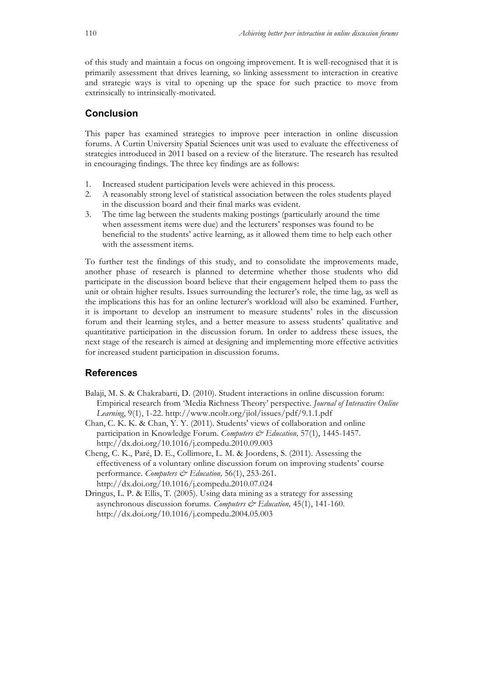of this study and maintain a focus on ongoing improvement. It is well-recognised that it is primarily assessment that drives learning, so linking assessment to interaction in creative and strategic ways is vital to opening up the space for such practice to move from extrinsically to intrinsically-motivated.

# **Conclusion**

This paper has examined strategies to improve peer interaction in online discussion forums. A Curtin University Spatial Sciences unit was used to evaluate the effectiveness of strategies introduced in 2011 based on a review of the literature. The research has resulted in encouraging findings. The three key findings are as follows:

- 1. Increased student participation levels were achieved in this process.
- 2. A reasonably strong level of statistical association between the roles students played in the discussion board and their final marks was evident.
- 3. The time lag between the students making postings (particularly around the time when assessment items were due) and the lecturers' responses was found to be beneficial to the students' active learning, as it allowed them time to help each other with the assessment items.

To further test the findings of this study, and to consolidate the improvements made, another phase of research is planned to determine whether those students who did participate in the discussion board believe that their engagement helped them to pass the unit or obtain higher results. Issues surrounding the lecturer's role, the time lag, as well as the implications this has for an online lecturer's workload will also be examined. Further, it is important to develop an instrument to measure students' roles in the discussion forum and their learning styles, and a better measure to assess students' qualitative and quantitative participation in the discussion forum. In order to address these issues, the next stage of the research is aimed at designing and implementing more effective activities for increased student participation in discussion forums.

## **References**

- Balaji, M. S. & Chakrabarti, D. (2010). Student interactions in online discussion forum: Empirical research from 'Media Richness Theory' perspective. *Journal of Interactive Online Learning*, 9(1), 1-22. http://www.ncolr.org/jiol/issues/pdf/9.1.1.pdf
- Chan, C. K. K. & Chan, Y. Y. (2011). Students' views of collaboration and online participation in Knowledge Forum. *Computers & Education*, 57(1), 1445-1457. http://dx.doi.org/10.1016/j.compedu.2010.09.003
- Cheng, C. K., Paré, D. E., Collimore, L. M. & Joordens, S. (2011). Assessing the effectiveness of a voluntary online discussion forum on improving students' course performance. *Computers*  $\mathcal{C}$ <sup>2</sup> Education, 56(1), 253-261. http://dx.doi.org/10.1016/j.compedu.2010.07.024
- Dringus, L. P. & Ellis, T. (2005). Using data mining as a strategy for assessing asynchronous discussion forums. *Computers & Education,* 45(1), 141-160. http://dx.doi.org/10.1016/j.compedu.2004.05.003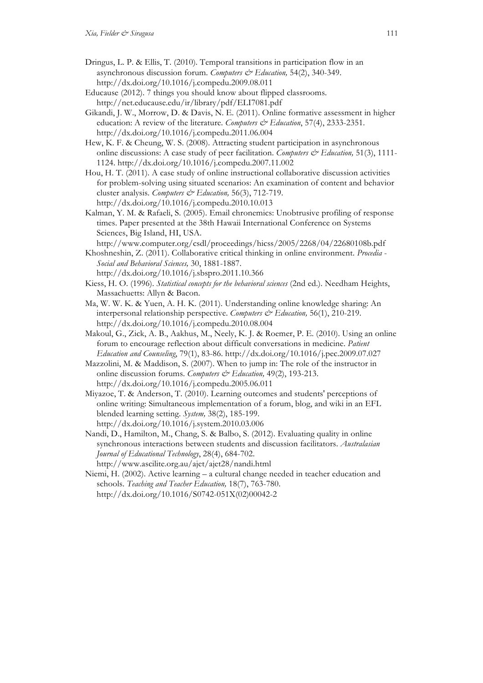- Dringus, L. P. & Ellis, T. (2010). Temporal transitions in participation flow in an asynchronous discussion forum. *Computers & Education,* 54(2), 340-349. http://dx.doi.org/10.1016/j.compedu.2009.08.011
- Educause (2012). 7 things you should know about flipped classrooms. http://net.educause.edu/ir/library/pdf/ELI7081.pdf
- Gikandi, J. W., Morrow, D. & Davis, N. E. (2011). Online formative assessment in higher education: A review of the literature. *Computers & Education*, 57(4), 2333-2351. http://dx.doi.org/10.1016/j.compedu.2011.06.004
- Hew, K. F. & Cheung, W. S. (2008). Attracting student participation in asynchronous online discussions: A case study of peer facilitation. *Computers & Education,* 51(3), 1111- 1124. http://dx.doi.org/10.1016/j.compedu.2007.11.002
- Hou, H. T. (2011). A case study of online instructional collaborative discussion activities for problem-solving using situated scenarios: An examination of content and behavior cluster analysis. *Computers & Education,* 56(3), 712-719. http://dx.doi.org/10.1016/j.compedu.2010.10.013
- Kalman, Y. M. & Rafaeli, S. (2005). Email chronemics: Unobtrusive profiling of response times. Paper presented at the 38th Hawaii International Conference on Systems Sciences, Big Island, HI, USA.
- http://www.computer.org/csdl/proceedings/hicss/2005/2268/04/22680108b.pdf
- Khoshneshin, Z. (2011). Collaborative critical thinking in online environment. *Procedia Social and Behavioral Sciences,* 30, 1881-1887.
- http://dx.doi.org/10.1016/j.sbspro.2011.10.366 Kiess, H. O. (1996). *Statistical concepts for the behavioral sciences* (2nd ed.). Needham Heights, Massachuetts: Allyn & Bacon.
- Ma, W. W. K. & Yuen, A. H. K. (2011). Understanding online knowledge sharing: An interpersonal relationship perspective. *Computers & Education,* 56(1), 210-219. http://dx.doi.org/10.1016/j.compedu.2010.08.004
- Makoul, G., Zick, A. B., Aakhus, M., Neely, K. J. & Roemer, P. E. (2010). Using an online forum to encourage reflection about difficult conversations in medicine. *Patient Education and Counseling*, 79(1), 83-86. http://dx.doi.org/10.1016/j.pec.2009.07.027
- Mazzolini, M. & Maddison, S. (2007). When to jump in: The role of the instructor in online discussion forums. *Computers & Education,* 49(2), 193-213. http://dx.doi.org/10.1016/j.compedu.2005.06.011
- Miyazoe, T. & Anderson, T. (2010). Learning outcomes and students' perceptions of online writing: Simultaneous implementation of a forum, blog, and wiki in an EFL blended learning setting. *System,* 38(2), 185-199. http://dx.doi.org/10.1016/j.system.2010.03.006
- Nandi, D., Hamilton, M., Chang, S. & Balbo, S. (2012). Evaluating quality in online synchronous interactions between students and discussion facilitators. *Australasian Journal of Educational Technology*, 28(4), 684-702. http://www.ascilite.org.au/ajet/ajet28/nandi.html
- Niemi, H. (2002). Active learning a cultural change needed in teacher education and schools. *Teaching and Teacher Education,* 18(7), 763-780. http://dx.doi.org/10.1016/S0742-051X(02)00042-2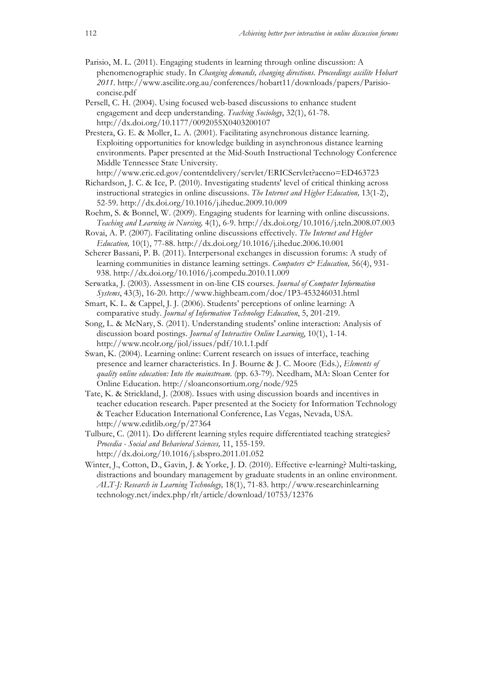- Parisio, M. L. (2011). Engaging students in learning through online discussion: A phenomenographic study. In *Changing demands, changing directions. Proceedings ascilite Hobart 2011*. http://www.ascilite.org.au/conferences/hobart11/downloads/papers/Parisioconcise.pdf
- Persell, C. H. (2004). Using focused web-based discussions to enhance student engagement and deep understanding. *Teaching Sociology*, 32(1), 61-78. http://dx.doi.org/10.1177/0092055X0403200107
- Prestera, G. E. & Moller, L. A. (2001). Facilitating asynchronous distance learning. Exploiting opportunities for knowledge building in asynchronous distance learning environments. Paper presented at the Mid-South Instructional Technology Conference Middle Tennessee State University.
- http://www.eric.ed.gov/contentdelivery/servlet/ERICServlet?accno=ED463723
- Richardson, J. C. & Ice, P. (2010). Investigating students' level of critical thinking across instructional strategies in online discussions. *The Internet and Higher Education,* 13(1-2), 52-59. http://dx.doi.org/10.1016/j.iheduc.2009.10.009
- Roehm, S. & Bonnel, W. (2009). Engaging students for learning with online discussions. *Teaching and Learning in Nursing,* 4(1), 6-9. http://dx.doi.org/10.1016/j.teln.2008.07.003
- Rovai, A. P. (2007). Facilitating online discussions effectively. *The Internet and Higher Education,* 10(1), 77-88. http://dx.doi.org/10.1016/j.iheduc.2006.10.001
- Scherer Bassani, P. B. (2011). Interpersonal exchanges in discussion forums: A study of learning communities in distance learning settings. *Computers & Education*, 56(4), 931-938. http://dx.doi.org/10.1016/j.compedu.2010.11.009
- Serwatka, J. (2003). Assessment in on-line CIS courses. *Journal of Computer Information Systems*, 43(3), 16-20. http://www.highbeam.com/doc/1P3-453246031.html
- Smart, K. L. & Cappel, J. J. (2006). Students' perceptions of online learning: A comparative study. *Journal of Information Technology Education*, 5, 201-219.
- Song, L. & McNary, S. (2011). Understanding students' online interaction: Analysis of discussion board postings. *Journal of Interactive Online Learning*, 10(1), 1-14. http://www.ncolr.org/jiol/issues/pdf/10.1.1.pdf
- Swan, K. (2004). Learning online: Current research on issues of interface, teaching presence and learner characteristics. In J. Bourne & J. C. Moore (Eds.), *Elements of quality online education: Into the mainstream*. (pp. 63-79). Needham, MA: Sloan Center for Online Education. http://sloanconsortium.org/node/925
- Tate, K. & Strickland, J. (2008). Issues with using discussion boards and incentives in teacher education research. Paper presented at the Society for Information Technology & Teacher Education International Conference, Las Vegas, Nevada, USA. http://www.editlib.org/p/27364
- Tulbure, C. (2011). Do different learning styles require differentiated teaching strategies? *Procedia - Social and Behavioral Sciences,* 11, 155-159. http://dx.doi.org/10.1016/j.sbspro.2011.01.052
- Winter, J., Cotton, D., Gavin, J. & Yorke, J. D. (2010). Effective e-learning? Multi-tasking, distractions and boundary management by graduate students in an online environment. *ALT-J: Research in Learning Technology,* 18(1), 71-83. http://www.researchinlearning technology.net/index.php/rlt/article/download/10753/12376